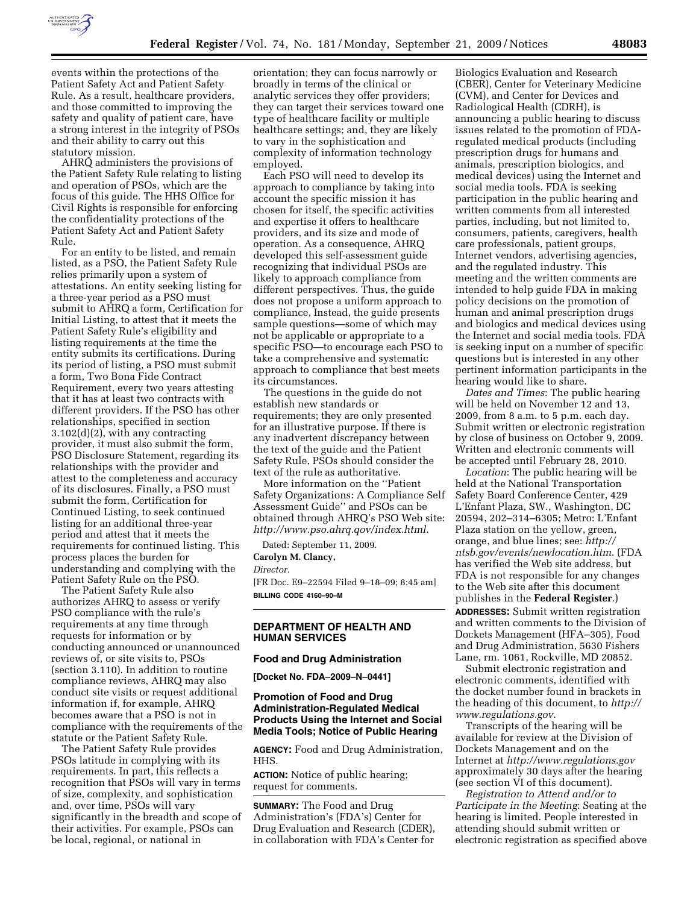

statutory mission. AHRQ administers the provisions of the Patient Safety Rule relating to listing and operation of PSOs, which are the focus of this guide. The HHS Office for Civil Rights is responsible for enforcing the confidentiality protections of the Patient Safety Act and Patient Safety Rule.

and their ability to carry out this

For an entity to be listed, and remain listed, as a PSO, the Patient Safety Rule relies primarily upon a system of attestations. An entity seeking listing for a three-year period as a PSO must submit to AHRQ a form, Certification for Initial Listing, to attest that it meets the Patient Safety Rule's eligibility and listing requirements at the time the entity submits its certifications. During its period of listing, a PSO must submit a form, Two Bona Fide Contract Requirement, every two years attesting that it has at least two contracts with different providers. If the PSO has other relationships, specified in section 3.102(d)(2), with any contracting provider, it must also submit the form, PSO Disclosure Statement, regarding its relationships with the provider and attest to the completeness and accuracy of its disclosures. Finally, a PSO must submit the form, Certification for Continued Listing, to seek continued listing for an additional three-year period and attest that it meets the requirements for continued listing. This process places the burden for understanding and complying with the Patient Safety Rule on the PSO.

The Patient Safety Rule also authorizes AHRQ to assess or verify PSO compliance with the rule's requirements at any time through requests for information or by conducting announced or unannounced reviews of, or site visits to, PSOs (section 3.110). In addition to routine compliance reviews, AHRQ may also conduct site visits or request additional information if, for example, AHRQ becomes aware that a PSO is not in compliance with the requirements of the statute or the Patient Safety Rule.

The Patient Safety Rule provides PSOs latitude in complying with its requirements. In part, this reflects a recognition that PSOs will vary in terms of size, complexity, and sophistication and, over time, PSOs will vary significantly in the breadth and scope of their activities. For example, PSOs can be local, regional, or national in

orientation; they can focus narrowly or broadly in terms of the clinical or analytic services they offer providers; they can target their services toward one type of healthcare facility or multiple healthcare settings; and, they are likely to vary in the sophistication and complexity of information technology employed.

Each PSO will need to develop its approach to compliance by taking into account the specific mission it has chosen for itself, the specific activities and expertise it offers to healthcare providers, and its size and mode of operation. As a consequence, AHRQ developed this self-assessment guide recognizing that individual PSOs are likely to approach compliance from different perspectives. Thus, the guide does not propose a uniform approach to compliance, Instead, the guide presents sample questions—some of which may not be applicable or appropriate to a specific PSO—to encourage each PSO to take a comprehensive and systematic approach to compliance that best meets its circumstances.

The questions in the guide do not establish new standards or requirements; they are only presented for an illustrative purpose. If there is any inadvertent discrepancy between the text of the guide and the Patient Safety Rule, PSOs should consider the text of the rule as authoritative.

More information on the ''Patient Safety Organizations: A Compliance Self Assessment Guide'' and PSOs can be obtained through AHRQ's PSO Web site: *http://www.pso.ahrq.qov/index.html.* 

Dated: September 11, 2009.

# **Carolyn M. Clancy,**

*Director.* 

[FR Doc. E9–22594 Filed 9–18–09; 8:45 am] **BILLING CODE 4160–90–M** 

# **DEPARTMENT OF HEALTH AND HUMAN SERVICES**

#### **Food and Drug Administration**

**[Docket No. FDA–2009–N–0441]** 

## **Promotion of Food and Drug Administration-Regulated Medical Products Using the Internet and Social Media Tools; Notice of Public Hearing**

**AGENCY:** Food and Drug Administration, HHS.

**ACTION:** Notice of public hearing; request for comments.

**SUMMARY:** The Food and Drug Administration's (FDA's) Center for Drug Evaluation and Research (CDER), in collaboration with FDA's Center for

Biologics Evaluation and Research (CBER), Center for Veterinary Medicine (CVM), and Center for Devices and Radiological Health (CDRH), is announcing a public hearing to discuss issues related to the promotion of FDAregulated medical products (including prescription drugs for humans and animals, prescription biologics, and medical devices) using the Internet and social media tools. FDA is seeking participation in the public hearing and written comments from all interested parties, including, but not limited to, consumers, patients, caregivers, health care professionals, patient groups, Internet vendors, advertising agencies, and the regulated industry. This meeting and the written comments are intended to help guide FDA in making policy decisions on the promotion of human and animal prescription drugs and biologics and medical devices using the Internet and social media tools. FDA is seeking input on a number of specific questions but is interested in any other pertinent information participants in the hearing would like to share.

*Dates and Times*: The public hearing will be held on November 12 and 13, 2009, from 8 a.m. to 5 p.m. each day. Submit written or electronic registration by close of business on October 9, 2009. Written and electronic comments will be accepted until February 28, 2010.

*Location*: The public hearing will be held at the National Transportation Safety Board Conference Center, 429 L'Enfant Plaza, SW., Washington, DC 20594, 202–314–6305; Metro: L'Enfant Plaza station on the yellow, green, orange, and blue lines; see: *http:// ntsb.gov/events/newlocation.htm*. (FDA has verified the Web site address, but FDA is not responsible for any changes to the Web site after this document publishes in the **Federal Register**.)

**ADDRESSES:** Submit written registration and written comments to the Division of Dockets Management (HFA–305), Food and Drug Administration, 5630 Fishers Lane, rm. 1061, Rockville, MD 20852.

Submit electronic registration and electronic comments, identified with the docket number found in brackets in the heading of this document, to *http:// www.regulations.gov*.

Transcripts of the hearing will be available for review at the Division of Dockets Management and on the Internet at *http://www.regulations.gov*  approximately 30 days after the hearing (see section VI of this document).

*Registration to Attend and/or to Participate in the Meeting*: Seating at the hearing is limited. People interested in attending should submit written or electronic registration as specified above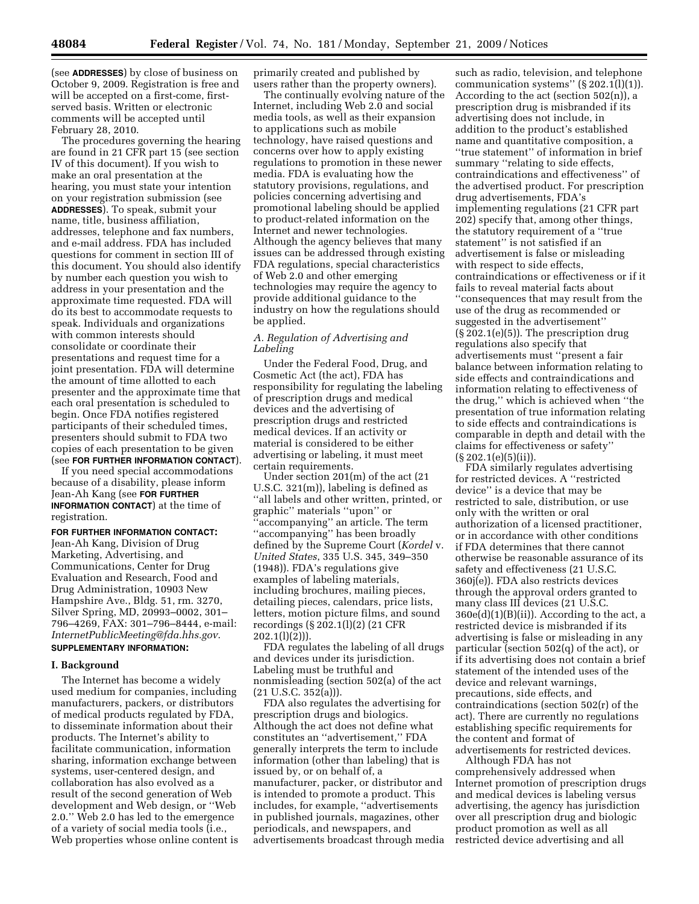(see **ADDRESSES**) by close of business on October 9, 2009. Registration is free and will be accepted on a first-come, firstserved basis. Written or electronic comments will be accepted until February 28, 2010.

The procedures governing the hearing are found in 21 CFR part 15 (see section IV of this document). If you wish to make an oral presentation at the hearing, you must state your intention on your registration submission (see **ADDRESSES**). To speak, submit your name, title, business affiliation, addresses, telephone and fax numbers, and e-mail address. FDA has included questions for comment in section III of this document. You should also identify by number each question you wish to address in your presentation and the approximate time requested. FDA will do its best to accommodate requests to speak. Individuals and organizations with common interests should consolidate or coordinate their presentations and request time for a joint presentation. FDA will determine the amount of time allotted to each presenter and the approximate time that each oral presentation is scheduled to begin. Once FDA notifies registered participants of their scheduled times, presenters should submit to FDA two copies of each presentation to be given (see **FOR FURTHER INFORMATION CONTACT**).

If you need special accommodations because of a disability, please inform Jean-Ah Kang (see **FOR FURTHER INFORMATION CONTACT**) at the time of registration.

#### **FOR FURTHER INFORMATION CONTACT:**

Jean-Ah Kang, Division of Drug Marketing, Advertising, and Communications, Center for Drug Evaluation and Research, Food and Drug Administration, 10903 New Hampshire Ave., Bldg. 51, rm. 3270, Silver Spring, MD, 20993–0002, 301– 796–4269, FAX: 301–796–8444, e-mail: *InternetPublicMeeting@fda.hhs.gov*. **SUPPLEMENTARY INFORMATION:** 

**I. Background** 

The Internet has become a widely used medium for companies, including manufacturers, packers, or distributors of medical products regulated by FDA, to disseminate information about their products. The Internet's ability to facilitate communication, information sharing, information exchange between systems, user-centered design, and collaboration has also evolved as a result of the second generation of Web development and Web design, or ''Web 2.0.'' Web 2.0 has led to the emergence of a variety of social media tools (i.e., Web properties whose online content is primarily created and published by users rather than the property owners).

The continually evolving nature of the Internet, including Web 2.0 and social media tools, as well as their expansion to applications such as mobile technology, have raised questions and concerns over how to apply existing regulations to promotion in these newer media. FDA is evaluating how the statutory provisions, regulations, and policies concerning advertising and promotional labeling should be applied to product-related information on the Internet and newer technologies. Although the agency believes that many issues can be addressed through existing FDA regulations, special characteristics of Web 2.0 and other emerging technologies may require the agency to provide additional guidance to the industry on how the regulations should be applied.

## *A. Regulation of Advertising and Labeling*

Under the Federal Food, Drug, and Cosmetic Act (the act), FDA has responsibility for regulating the labeling of prescription drugs and medical devices and the advertising of prescription drugs and restricted medical devices. If an activity or material is considered to be either advertising or labeling, it must meet certain requirements.

Under section 201(m) of the act (21 U.S.C. 321(m)), labeling is defined as ''all labels and other written, printed, or graphic'' materials ''upon'' or 'accompanying" an article. The term ''accompanying'' has been broadly defined by the Supreme Court (*Kordel* v. *United States*, 335 U.S. 345, 349–350 (1948)). FDA's regulations give examples of labeling materials, including brochures, mailing pieces, detailing pieces, calendars, price lists, letters, motion picture films, and sound recordings (§ 202.1(l)(2) (21 CFR  $202.1(1)(2)$ ).

FDA regulates the labeling of all drugs and devices under its jurisdiction. Labeling must be truthful and nonmisleading (section 502(a) of the act  $(21 \text{ U.S.C. } 352(a))$ .

FDA also regulates the advertising for prescription drugs and biologics. Although the act does not define what constitutes an ''advertisement,'' FDA generally interprets the term to include information (other than labeling) that is issued by, or on behalf of, a manufacturer, packer, or distributor and is intended to promote a product. This includes, for example, ''advertisements in published journals, magazines, other periodicals, and newspapers, and advertisements broadcast through media

such as radio, television, and telephone communication systems"  $(\S 202.1(l)(1))$ . According to the act (section 502(n)), a prescription drug is misbranded if its advertising does not include, in addition to the product's established name and quantitative composition, a ''true statement'' of information in brief summary ''relating to side effects, contraindications and effectiveness'' of the advertised product. For prescription drug advertisements, FDA's implementing regulations (21 CFR part 202) specify that, among other things, the statutory requirement of a ''true statement'' is not satisfied if an advertisement is false or misleading with respect to side effects, contraindications or effectiveness or if it fails to reveal material facts about ''consequences that may result from the use of the drug as recommended or suggested in the advertisement'' (§ 202.1(e)(5)). The prescription drug regulations also specify that advertisements must ''present a fair balance between information relating to side effects and contraindications and information relating to effectiveness of the drug,'' which is achieved when ''the presentation of true information relating to side effects and contraindications is comparable in depth and detail with the claims for effectiveness or safety'' (§ 202.1(e)(5)(ii)).

FDA similarly regulates advertising for restricted devices. A ''restricted device'' is a device that may be restricted to sale, distribution, or use only with the written or oral authorization of a licensed practitioner, or in accordance with other conditions if FDA determines that there cannot otherwise be reasonable assurance of its safety and effectiveness (21 U.S.C. 360j(e)). FDA also restricts devices through the approval orders granted to many class III devices (21 U.S.C.  $360e(d)(1)(B)(ii)$ . According to the act, a restricted device is misbranded if its advertising is false or misleading in any particular (section 502(q) of the act), or if its advertising does not contain a brief statement of the intended uses of the device and relevant warnings, precautions, side effects, and contraindications (section 502(r) of the act). There are currently no regulations establishing specific requirements for the content and format of advertisements for restricted devices.

Although FDA has not comprehensively addressed when Internet promotion of prescription drugs and medical devices is labeling versus advertising, the agency has jurisdiction over all prescription drug and biologic product promotion as well as all restricted device advertising and all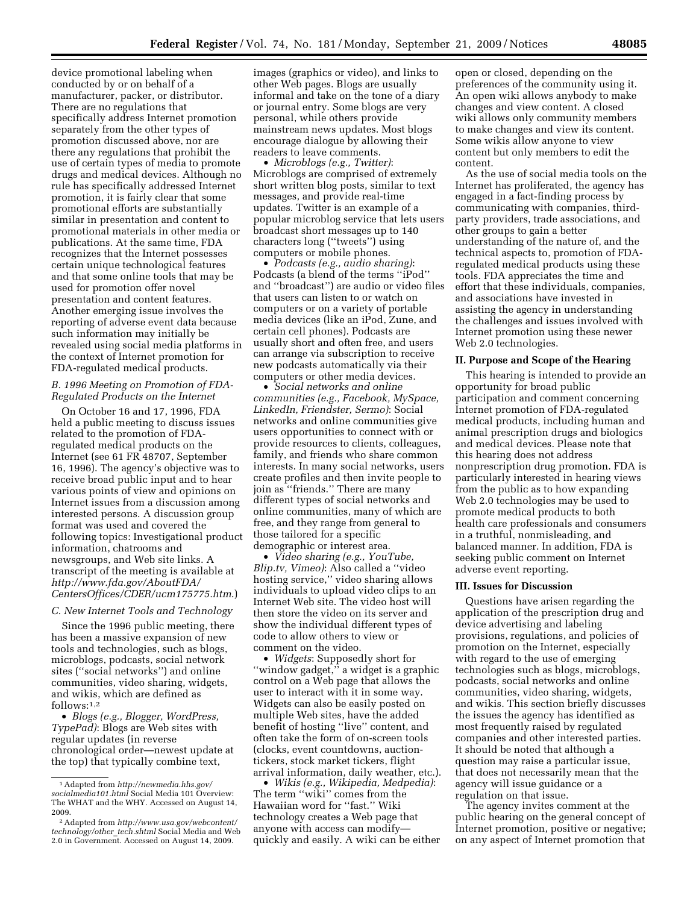device promotional labeling when conducted by or on behalf of a manufacturer, packer, or distributor. There are no regulations that specifically address Internet promotion separately from the other types of promotion discussed above, nor are there any regulations that prohibit the use of certain types of media to promote drugs and medical devices. Although no rule has specifically addressed Internet promotion, it is fairly clear that some promotional efforts are substantially similar in presentation and content to promotional materials in other media or publications. At the same time, FDA recognizes that the Internet possesses certain unique technological features and that some online tools that may be used for promotion offer novel presentation and content features. Another emerging issue involves the reporting of adverse event data because such information may initially be revealed using social media platforms in the context of Internet promotion for FDA-regulated medical products.

# *B. 1996 Meeting on Promotion of FDA-Regulated Products on the Internet*

On October 16 and 17, 1996, FDA held a public meeting to discuss issues related to the promotion of FDAregulated medical products on the Internet (see 61 FR 48707, September 16, 1996). The agency's objective was to receive broad public input and to hear various points of view and opinions on Internet issues from a discussion among interested persons. A discussion group format was used and covered the following topics: Investigational product information, chatrooms and newsgroups, and Web site links. A transcript of the meeting is available at *http://www.fda.gov/AboutFDA/ CentersOffices/CDER/ucm175775.htm*.)

# *C. New Internet Tools and Technology*

Since the 1996 public meeting, there has been a massive expansion of new tools and technologies, such as blogs, microblogs, podcasts, social network sites (''social networks'') and online communities, video sharing, widgets, and wikis, which are defined as follows:1,2

• *Blogs (e.g., Blogger, WordPress, TypePad)*: Blogs are Web sites with regular updates (in reverse chronological order—newest update at the top) that typically combine text,

images (graphics or video), and links to other Web pages. Blogs are usually informal and take on the tone of a diary or journal entry. Some blogs are very personal, while others provide mainstream news updates. Most blogs encourage dialogue by allowing their readers to leave comments.

• *Microblogs (e.g., Twitter)*: Microblogs are comprised of extremely short written blog posts, similar to text messages, and provide real-time updates. Twitter is an example of a popular microblog service that lets users broadcast short messages up to 140 characters long (''tweets'') using computers or mobile phones.

• *Podcasts (e.g., audio sharing)*: Podcasts (a blend of the terms ''iPod'' and ''broadcast'') are audio or video files that users can listen to or watch on computers or on a variety of portable media devices (like an iPod, Zune, and certain cell phones). Podcasts are usually short and often free, and users can arrange via subscription to receive new podcasts automatically via their computers or other media devices.

• *Social networks and online communities (e.g., Facebook, MySpace, LinkedIn, Friendster, Sermo)*: Social networks and online communities give users opportunities to connect with or provide resources to clients, colleagues, family, and friends who share common interests. In many social networks, users create profiles and then invite people to join as ''friends.'' There are many different types of social networks and online communities, many of which are free, and they range from general to those tailored for a specific demographic or interest area.

• *Video sharing (e.g., YouTube, Blip.tv, Vimeo)*: Also called a ''video hosting service,'' video sharing allows individuals to upload video clips to an Internet Web site. The video host will then store the video on its server and show the individual different types of code to allow others to view or comment on the video.

• *Widgets*: Supposedly short for ''window gadget,'' a widget is a graphic control on a Web page that allows the user to interact with it in some way. Widgets can also be easily posted on multiple Web sites, have the added benefit of hosting ''live'' content, and often take the form of on-screen tools (clocks, event countdowns, auctiontickers, stock market tickers, flight arrival information, daily weather, etc.).

• *Wikis (e.g., Wikipedia, Medpedia)*: The term ''wiki'' comes from the Hawaiian word for ''fast.'' Wiki technology creates a Web page that anyone with access can modify quickly and easily. A wiki can be either open or closed, depending on the preferences of the community using it. An open wiki allows anybody to make changes and view content. A closed wiki allows only community members to make changes and view its content. Some wikis allow anyone to view content but only members to edit the content.

As the use of social media tools on the Internet has proliferated, the agency has engaged in a fact-finding process by communicating with companies, thirdparty providers, trade associations, and other groups to gain a better understanding of the nature of, and the technical aspects to, promotion of FDAregulated medical products using these tools. FDA appreciates the time and effort that these individuals, companies, and associations have invested in assisting the agency in understanding the challenges and issues involved with Internet promotion using these newer Web 2.0 technologies.

## **II. Purpose and Scope of the Hearing**

This hearing is intended to provide an opportunity for broad public participation and comment concerning Internet promotion of FDA-regulated medical products, including human and animal prescription drugs and biologics and medical devices. Please note that this hearing does not address nonprescription drug promotion. FDA is particularly interested in hearing views from the public as to how expanding Web 2.0 technologies may be used to promote medical products to both health care professionals and consumers in a truthful, nonmisleading, and balanced manner. In addition, FDA is seeking public comment on Internet adverse event reporting.

#### **III. Issues for Discussion**

Questions have arisen regarding the application of the prescription drug and device advertising and labeling provisions, regulations, and policies of promotion on the Internet, especially with regard to the use of emerging technologies such as blogs, microblogs, podcasts, social networks and online communities, video sharing, widgets, and wikis. This section briefly discusses the issues the agency has identified as most frequently raised by regulated companies and other interested parties. It should be noted that although a question may raise a particular issue, that does not necessarily mean that the agency will issue guidance or a regulation on that issue.

The agency invites comment at the public hearing on the general concept of Internet promotion, positive or negative; on any aspect of Internet promotion that

<sup>1</sup>Adapted from *http://newmedia.hhs.gov/ socialmedia101.html* Social Media 101 Overview: The WHAT and the WHY. Accessed on August 14, 2009.

<sup>2</sup>Adapted from *http://www.usa.gov/webcontent/ technology/other*\_*tech.shtml* Social Media and Web 2.0 in Government. Accessed on August 14, 2009.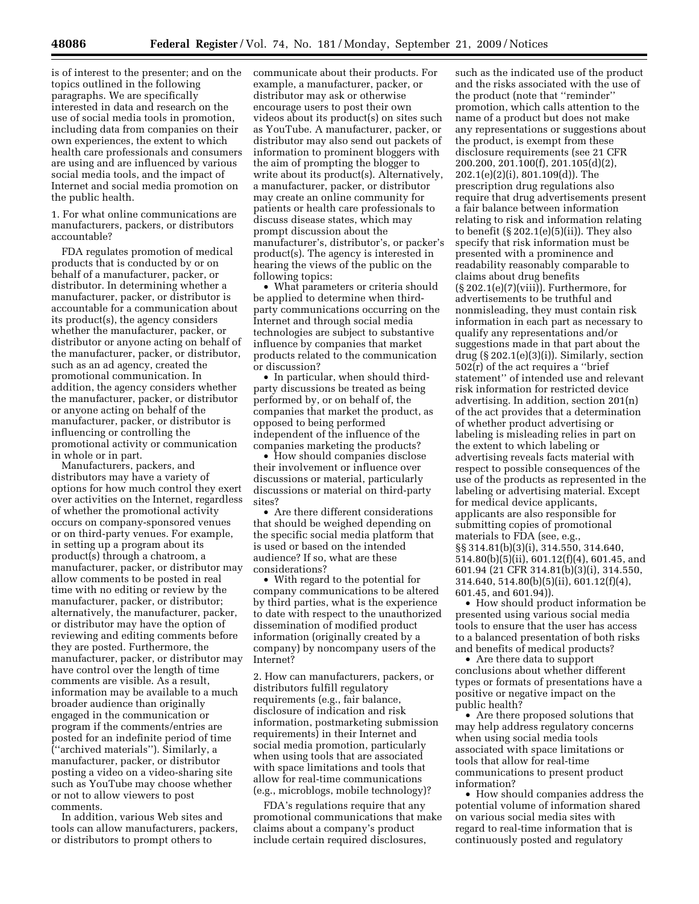is of interest to the presenter; and on the topics outlined in the following paragraphs. We are specifically interested in data and research on the use of social media tools in promotion, including data from companies on their own experiences, the extent to which health care professionals and consumers are using and are influenced by various social media tools, and the impact of Internet and social media promotion on the public health.

1. For what online communications are manufacturers, packers, or distributors accountable?

FDA regulates promotion of medical products that is conducted by or on behalf of a manufacturer, packer, or distributor. In determining whether a manufacturer, packer, or distributor is accountable for a communication about its product(s), the agency considers whether the manufacturer, packer, or distributor or anyone acting on behalf of the manufacturer, packer, or distributor, such as an ad agency, created the promotional communication. In addition, the agency considers whether the manufacturer, packer, or distributor or anyone acting on behalf of the manufacturer, packer, or distributor is influencing or controlling the promotional activity or communication in whole or in part.

Manufacturers, packers, and distributors may have a variety of options for how much control they exert over activities on the Internet, regardless of whether the promotional activity occurs on company-sponsored venues or on third-party venues. For example, in setting up a program about its product(s) through a chatroom, a manufacturer, packer, or distributor may allow comments to be posted in real time with no editing or review by the manufacturer, packer, or distributor; alternatively, the manufacturer, packer, or distributor may have the option of reviewing and editing comments before they are posted. Furthermore, the manufacturer, packer, or distributor may have control over the length of time comments are visible. As a result, information may be available to a much broader audience than originally engaged in the communication or program if the comments/entries are posted for an indefinite period of time (''archived materials''). Similarly, a manufacturer, packer, or distributor posting a video on a video-sharing site such as YouTube may choose whether or not to allow viewers to post comments.

In addition, various Web sites and tools can allow manufacturers, packers, or distributors to prompt others to

communicate about their products. For example, a manufacturer, packer, or distributor may ask or otherwise encourage users to post their own videos about its product(s) on sites such as YouTube. A manufacturer, packer, or distributor may also send out packets of information to prominent bloggers with the aim of prompting the blogger to write about its product(s). Alternatively, a manufacturer, packer, or distributor may create an online community for patients or health care professionals to discuss disease states, which may prompt discussion about the manufacturer's, distributor's, or packer's product(s). The agency is interested in hearing the views of the public on the following topics:

• What parameters or criteria should be applied to determine when thirdparty communications occurring on the Internet and through social media technologies are subject to substantive influence by companies that market products related to the communication or discussion?

• In particular, when should thirdparty discussions be treated as being performed by, or on behalf of, the companies that market the product, as opposed to being performed independent of the influence of the companies marketing the products?

• How should companies disclose their involvement or influence over discussions or material, particularly discussions or material on third-party sites?

• Are there different considerations that should be weighed depending on the specific social media platform that is used or based on the intended audience? If so, what are these considerations?

• With regard to the potential for company communications to be altered by third parties, what is the experience to date with respect to the unauthorized dissemination of modified product information (originally created by a company) by noncompany users of the Internet?

2. How can manufacturers, packers, or distributors fulfill regulatory requirements (e.g., fair balance, disclosure of indication and risk information, postmarketing submission requirements) in their Internet and social media promotion, particularly when using tools that are associated with space limitations and tools that allow for real-time communications (e.g., microblogs, mobile technology)?

FDA's regulations require that any promotional communications that make claims about a company's product include certain required disclosures,

such as the indicated use of the product and the risks associated with the use of the product (note that ''reminder'' promotion, which calls attention to the name of a product but does not make any representations or suggestions about the product, is exempt from these disclosure requirements (see 21 CFR 200.200, 201.100(f), 201.105(d)(2), 202.1(e)(2)(i), 801.109(d)). The prescription drug regulations also require that drug advertisements present a fair balance between information relating to risk and information relating to benefit  $(\S 202.1(e)(5)(ii))$ . They also specify that risk information must be presented with a prominence and readability reasonably comparable to claims about drug benefits  $(\S 202.1(e)(7)(viii))$ . Furthermore, for advertisements to be truthful and nonmisleading, they must contain risk information in each part as necessary to qualify any representations and/or suggestions made in that part about the drug  $(S 202.1(e)(3)(i))$ . Similarly, section 502(r) of the act requires a ''brief statement'' of intended use and relevant risk information for restricted device advertising. In addition, section 201(n) of the act provides that a determination of whether product advertising or labeling is misleading relies in part on the extent to which labeling or advertising reveals facts material with respect to possible consequences of the use of the products as represented in the labeling or advertising material. Except for medical device applicants, applicants are also responsible for submitting copies of promotional materials to FDA (see, e.g., §§ 314.81(b)(3)(i), 314.550, 314.640, 514.80(b)(5)(ii), 601.12(f)(4), 601.45, and 601.94 (21 CFR 314.81(b)(3)(i), 314.550, 314.640, 514.80(b)(5)(ii), 601.12(f)(4), 601.45, and 601.94)).

• How should product information be presented using various social media tools to ensure that the user has access to a balanced presentation of both risks and benefits of medical products?

• Are there data to support conclusions about whether different types or formats of presentations have a positive or negative impact on the public health?

• Are there proposed solutions that may help address regulatory concerns when using social media tools associated with space limitations or tools that allow for real-time communications to present product information?

• How should companies address the potential volume of information shared on various social media sites with regard to real-time information that is continuously posted and regulatory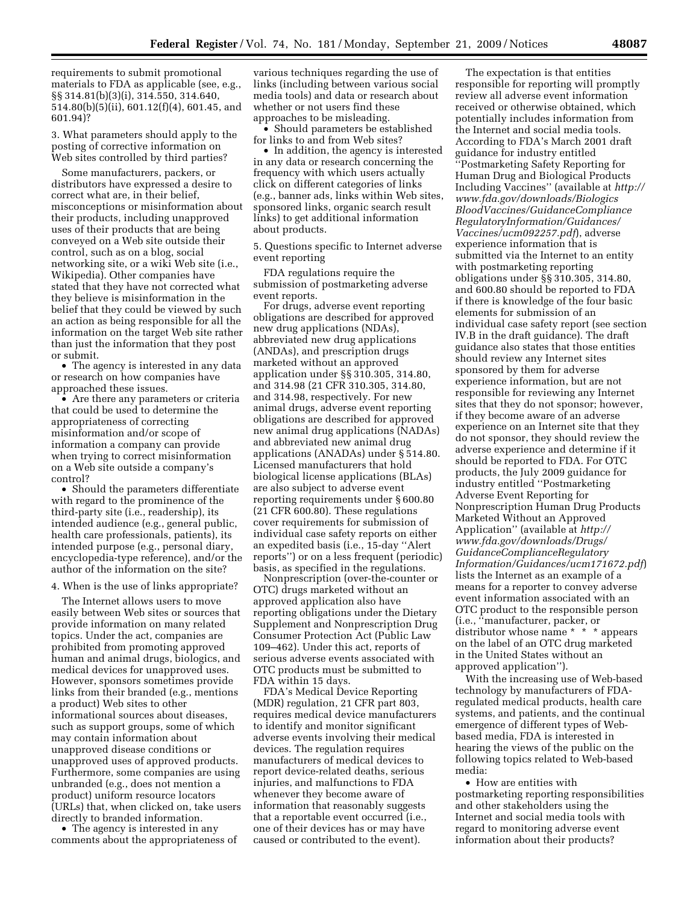requirements to submit promotional materials to FDA as applicable (see, e.g., §§ 314.81(b)(3)(i), 314.550, 314.640, 514.80(b)(5)(ii), 601.12(f)(4), 601.45, and 601.94)?

3. What parameters should apply to the posting of corrective information on Web sites controlled by third parties?

Some manufacturers, packers, or distributors have expressed a desire to correct what are, in their belief, misconceptions or misinformation about their products, including unapproved uses of their products that are being conveyed on a Web site outside their control, such as on a blog, social networking site, or a wiki Web site (i.e., Wikipedia). Other companies have stated that they have not corrected what they believe is misinformation in the belief that they could be viewed by such an action as being responsible for all the information on the target Web site rather than just the information that they post or submit.

• The agency is interested in any data or research on how companies have approached these issues.

• Are there any parameters or criteria that could be used to determine the appropriateness of correcting misinformation and/or scope of information a company can provide when trying to correct misinformation on a Web site outside a company's control?

• Should the parameters differentiate with regard to the prominence of the third-party site (i.e., readership), its intended audience (e.g., general public, health care professionals, patients), its intended purpose (e.g., personal diary, encyclopedia-type reference), and/or the author of the information on the site?

#### 4. When is the use of links appropriate?

The Internet allows users to move easily between Web sites or sources that provide information on many related topics. Under the act, companies are prohibited from promoting approved human and animal drugs, biologics, and medical devices for unapproved uses. However, sponsors sometimes provide links from their branded (e.g., mentions a product) Web sites to other informational sources about diseases, such as support groups, some of which may contain information about unapproved disease conditions or unapproved uses of approved products. Furthermore, some companies are using unbranded (e.g., does not mention a product) uniform resource locators (URLs) that, when clicked on, take users directly to branded information.

• The agency is interested in any comments about the appropriateness of

various techniques regarding the use of links (including between various social media tools) and data or research about whether or not users find these approaches to be misleading.

• Should parameters be established for links to and from Web sites?

• In addition, the agency is interested in any data or research concerning the frequency with which users actually click on different categories of links (e.g., banner ads, links within Web sites, sponsored links, organic search result links) to get additional information about products.

5. Questions specific to Internet adverse event reporting

FDA regulations require the submission of postmarketing adverse event reports.

For drugs, adverse event reporting obligations are described for approved new drug applications (NDAs), abbreviated new drug applications (ANDAs), and prescription drugs marketed without an approved application under §§ 310.305, 314.80, and 314.98 (21 CFR 310.305, 314.80, and 314.98, respectively. For new animal drugs, adverse event reporting obligations are described for approved new animal drug applications (NADAs) and abbreviated new animal drug applications (ANADAs) under § 514.80. Licensed manufacturers that hold biological license applications (BLAs) are also subject to adverse event reporting requirements under § 600.80 (21 CFR 600.80). These regulations cover requirements for submission of individual case safety reports on either an expedited basis (i.e., 15-day ''Alert reports'') or on a less frequent (periodic) basis, as specified in the regulations.

Nonprescription (over-the-counter or OTC) drugs marketed without an approved application also have reporting obligations under the Dietary Supplement and Nonprescription Drug Consumer Protection Act (Public Law 109–462). Under this act, reports of serious adverse events associated with OTC products must be submitted to FDA within 15 days.

FDA's Medical Device Reporting (MDR) regulation, 21 CFR part 803, requires medical device manufacturers to identify and monitor significant adverse events involving their medical devices. The regulation requires manufacturers of medical devices to report device-related deaths, serious injuries, and malfunctions to FDA whenever they become aware of information that reasonably suggests that a reportable event occurred (i.e., one of their devices has or may have caused or contributed to the event).

The expectation is that entities responsible for reporting will promptly review all adverse event information received or otherwise obtained, which potentially includes information from the Internet and social media tools. According to FDA's March 2001 draft guidance for industry entitled ''Postmarketing Safety Reporting for Human Drug and Biological Products Including Vaccines'' (available at *http:// www.fda.gov/downloads/Biologics BloodVaccines/GuidanceCompliance RegulatoryInformation/Guidances/ Vaccines/ucm092257.pdf*), adverse experience information that is submitted via the Internet to an entity with postmarketing reporting obligations under §§ 310.305, 314.80, and 600.80 should be reported to FDA if there is knowledge of the four basic elements for submission of an individual case safety report (see section IV.B in the draft guidance). The draft guidance also states that those entities should review any Internet sites sponsored by them for adverse experience information, but are not responsible for reviewing any Internet sites that they do not sponsor; however, if they become aware of an adverse experience on an Internet site that they do not sponsor, they should review the adverse experience and determine if it should be reported to FDA. For OTC products, the July 2009 guidance for industry entitled ''Postmarketing Adverse Event Reporting for Nonprescription Human Drug Products Marketed Without an Approved Application'' (available at *http:// www.fda.gov/downloads/Drugs/ GuidanceComplianceRegulatory Information/Guidances/ucm171672.pdf*) lists the Internet as an example of a means for a reporter to convey adverse event information associated with an OTC product to the responsible person (i.e., ''manufacturer, packer, or distributor whose name \* \* \* appears on the label of an OTC drug marketed in the United States without an approved application'').

With the increasing use of Web-based technology by manufacturers of FDAregulated medical products, health care systems, and patients, and the continual emergence of different types of Webbased media, FDA is interested in hearing the views of the public on the following topics related to Web-based media:

• How are entities with postmarketing reporting responsibilities and other stakeholders using the Internet and social media tools with regard to monitoring adverse event information about their products?